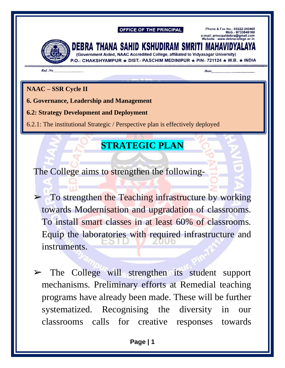## **OFFICE OF THE PRINCIPAL**

hone & Fax No.: 03222-243400<br>Mob.- 9733846160 e-mail: principaldebra@gmail.com ebsite : www.debracollege.ac.in



THANA SAHID KSHUDIRAM SMRITI MAHAVIDYALAYA

(Government Aided, NAAC Accredited College, affiliated to Vidyasagar University)

P.O.: CHAKSHYAMPUR  $\star$  DIST.- PASCHIM MEDINIPUR  $\star$  PIN-721124  $\star$  W.B.  $\star$  INDIA

Ref. No

Date

## **NAAC – SSR Cycle II**

**6. Governance, Leadership and Management**

**6.2: Strategy Development and Deployment**

6.2.1: The institutional Strategic / Perspective plan is effectively deployed

## **STRATEGIC PLAN**

The College aims to strengthen the following-

To strengthen the Teaching infrastructure by working towards Modernisation and upgradation of classrooms. To install smart classes in at least 60% of classrooms. Equip the laboratories with required infrastructure and instruments.

The College will strengthen its student support mechanisms. Preliminary efforts at Remedial teaching programs have already been made. These will be further systematized. Recognising the diversity in our classrooms calls for creative responses towards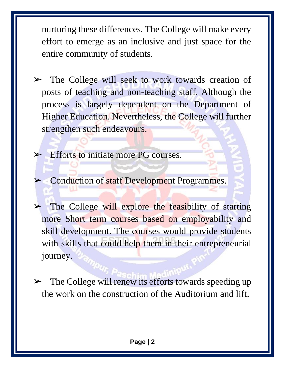nurturing these differences. The College will make every effort to emerge as an inclusive and just space for the entire community of students.

- The College will seek to work towards creation of posts of teaching and non-teaching staff. Although the process is largely dependent on the Department of Higher Education. Nevertheless, the College will further strengthen such endeavours.
- ➢ Efforts to initiate more PG courses.
- ► Conduction of staff Development Programmes.
- The College will explore the feasibility of starting more Short term courses based on employability and skill development. The courses would provide students with skills that could help them in their entrepreneurial journey.
- The College will renew its efforts towards speeding up the work on the construction of the Auditorium and lift.